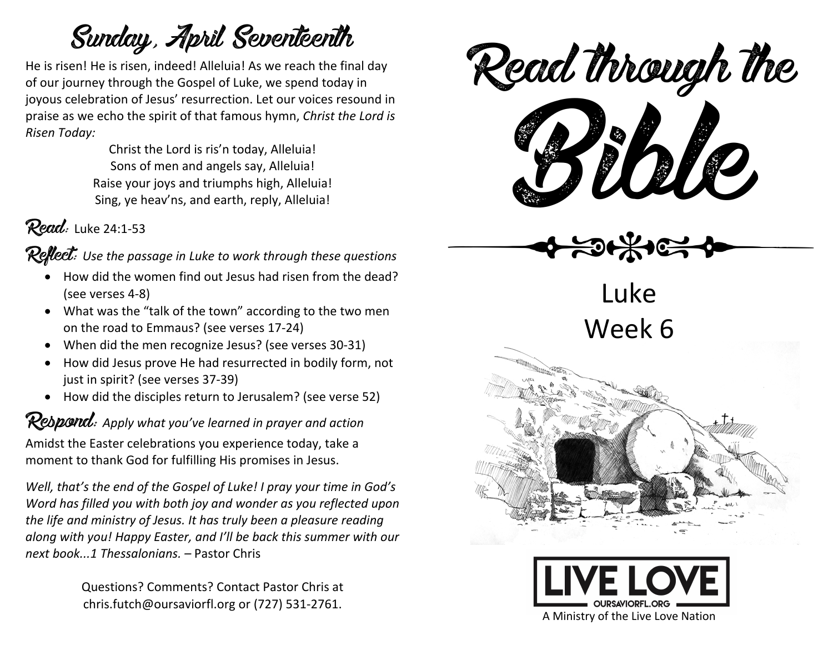## Sunday, April Seventeenth

He is risen! He is risen, indeed! Alleluia! As we reach the final day of our journey through the Gospel of Luke, we spend today in joyous celebration of Jesus' resurrection. Let our voices resound in praise as we echo the spirit of that famous hymn, *Christ the Lord is Risen Today:* 

> Christ the Lord is ris'n today, Alleluia! Sons of men and angels say, Alleluia! Raise your joys and triumphs high, Alleluia! Sing, ye heav'ns, and earth, reply, Alleluia!

 $Read:$  Luke 24:1-53

Reflect: *Use the passage in Luke to work through these questions*

- How did the women find out Jesus had risen from the dead? (see verses 4-8)
- What was the "talk of the town" according to the two men on the road to Emmaus? (see verses 17-24)
- When did the men recognize Jesus? (see verses 30-31)
- How did Jesus prove He had resurrected in bodily form, not just in spirit? (see verses 37-39)
- How did the disciples return to Jerusalem? (see verse 52)

Respond: *Apply what you've learned in prayer and action* Amidst the Easter celebrations you experience today, take a

moment to thank God for fulfilling His promises in Jesus.

*Well, that's the end of the Gospel of Luke! I pray your time in God's Word has filled you with both joy and wonder as you reflected upon the life and ministry of Jesus. It has truly been a pleasure reading along with you! Happy Easter, and I'll be back this summer with our next book...1 Thessalonians. –* Pastor Chris

> Questions? Comments? Contact Pastor Chris at chris.futch@oursaviorfl.org or (727) 531-2761.



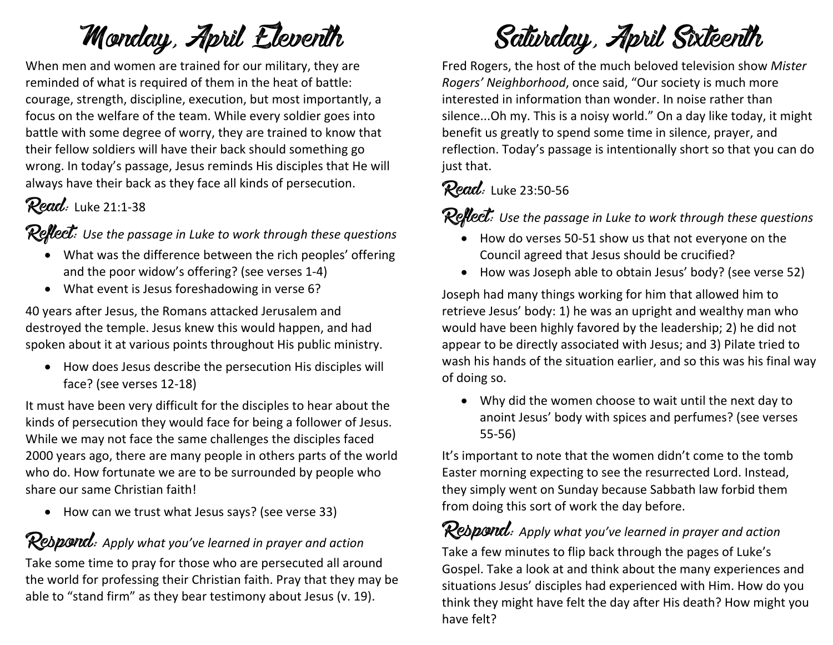## Monday, April Eleventh

When men and women are trained for our military, they are reminded of what is required of them in the heat of battle: courage, strength, discipline, execution, but most importantly, a focus on the welfare of the team. While every soldier goes into battle with some degree of worry, they are trained to know that their fellow soldiers will have their back should something go wrong. In today's passage, Jesus reminds His disciples that He will always have their back as they face all kinds of persecution.

### **Read:** Luke 21:1-38

Reflect: *Use the passage in Luke to work through these questions*

- What was the difference between the rich peoples' offering and the poor widow's offering? (see verses 1-4)
- What event is Jesus foreshadowing in verse 6?

40 years after Jesus, the Romans attacked Jerusalem and destroyed the temple. Jesus knew this would happen, and had spoken about it at various points throughout His public ministry.

• How does Jesus describe the persecution His disciples will face? (see verses 12-18)

It must have been very difficult for the disciples to hear about the kinds of persecution they would face for being a follower of Jesus. While we may not face the same challenges the disciples faced 2000 years ago, there are many people in others parts of the world who do. How fortunate we are to be surrounded by people who share our same Christian faith!

• How can we trust what Jesus says? (see verse 33)

### Rebpond: Apply what you've learned in prayer and action

Take some time to pray for those who are persecuted all around the world for professing their Christian faith. Pray that they may be able to "stand firm" as they bear testimony about Jesus (v. 19).

## Saturday, April Sixteenth

Fred Rogers, the host of the much beloved television show *Mister Rogers' Neighborhood*, once said, "Our society is much more interested in information than wonder. In noise rather than silence...Oh my. This is a noisy world." On a day like today, it might benefit us greatly to spend some time in silence, prayer, and reflection. Today's passage is intentionally short so that you can do just that.

### Read: Luke 23:50-56

Reflect: Use the passage in Luke to work through these questions

- How do verses 50-51 show us that not everyone on the Council agreed that Jesus should be crucified?
- How was Joseph able to obtain Jesus' body? (see verse 52)

Joseph had many things working for him that allowed him to retrieve Jesus' body: 1) he was an upright and wealthy man who would have been highly favored by the leadership; 2) he did not appear to be directly associated with Jesus; and 3) Pilate tried to wash his hands of the situation earlier, and so this was his final way of doing so.

• Why did the women choose to wait until the next day to anoint Jesus' body with spices and perfumes? (see verses 55-56)

It's important to note that the women didn't come to the tomb Easter morning expecting to see the resurrected Lord. Instead, they simply went on Sunday because Sabbath law forbid them from doing this sort of work the day before.

### Respond: *Apply what you've learned in prayer and action*

Take a few minutes to flip back through the pages of Luke's Gospel. Take a look at and think about the many experiences and situations Jesus' disciples had experienced with Him. How do you think they might have felt the day after His death? How might you have felt?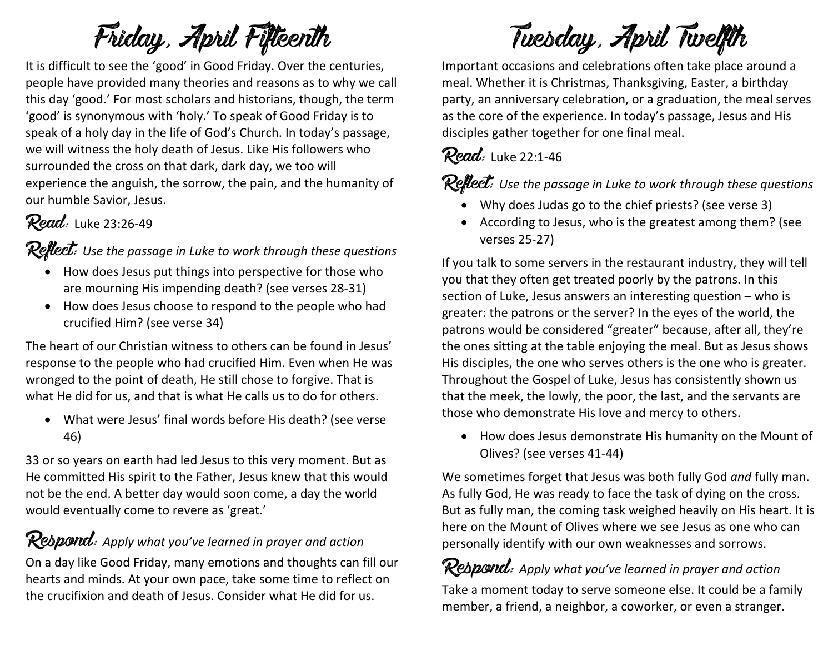# Friday, April Fifteenth

It is difficult to see the 'good' in Good Friday. Over the centuries, people have provided many theories and reasons as to why we call this day 'good.' For most scholars and historians, though, the term 'good' is synonymous with 'holy.' To speak of Good Friday is to speak of a holy day in the life of God's Church. In today's passage, we will witness the holy death of Jesus. Like His followers who surrounded the cross on that dark, dark day, we too will experience the anguish, the sorrow, the pain, and the humanity of our humble Savior, Jesus.

### **Read:** Luke 23:26-49

#### Reflect: *Use the passage in Luke to work through these questions*

- How does Jesus put things into perspective for those who are mourning His impending death? (see verses 28-31)
- How does Jesus choose to respond to the people who had crucified Him? (see verse 34)

The heart of our Christian witness to others can be found in Jesus' response to the people who had crucified Him. Even when He was wronged to the point of death, He still chose to forgive. That is what He did for us, and that is what He calls us to do for others.

• What were Jesus' final words before His death? (see verse 46)

33 or so years on earth had led Jesus to this very moment. But as He committed His spirit to the Father, Jesus knew that this would not be the end. A better day would soon come, a day the world would eventually come to revere as 'great.'

### Respond: *Apply what you've learned in prayer and action*

On a day like Good Friday, many emotions and thoughts can fill our hearts and minds. At your own pace, take some time to reflect on the crucifixion and death of Jesus. Consider what He did for us.

# Tuesday, April Twelfth

Important occasions and celebrations often take place around a meal. Whether it is Christmas, Thanksgiving, Easter, a birthday party, an anniversary celebration, or a graduation, the meal serves as the core of the experience. In today's passage, Jesus and His disciples gather together for one final meal.

### **Read:** Luke 22:1-46

### **Reflect:** Use the passage in Luke to work through these questions

- Why does Judas go to the chief priests? (see verse 3)
- According to Jesus, who is the greatest among them? (see verses 25-27)

If you talk to some servers in the restaurant industry, they will tell you that they often get treated poorly by the patrons. In this section of Luke, Jesus answers an interesting question – who is greater: the patrons or the server? In the eyes of the world, the patrons would be considered "greater" because, after all, they're the ones sitting at the table enjoying the meal. But as Jesus shows His disciples, the one who serves others is the one who is greater. Throughout the Gospel of Luke, Jesus has consistently shown us that the meek, the lowly, the poor, the last, and the servants are those who demonstrate His love and mercy to others.

• How does Jesus demonstrate His humanity on the Mount of Olives? (see verses 41-44)

We sometimes forget that Jesus was both fully God *and* fully man. As fully God, He was ready to face the task of dying on the cross. But as fully man, the coming task weighed heavily on His heart. It is here on the Mount of Olives where we see Jesus as one who can personally identify with our own weaknesses and sorrows.

### Respond: *Apply what you've learned in prayer and action*

Take a moment today to serve someone else. It could be a family member, a friend, a neighbor, a coworker, or even a stranger.